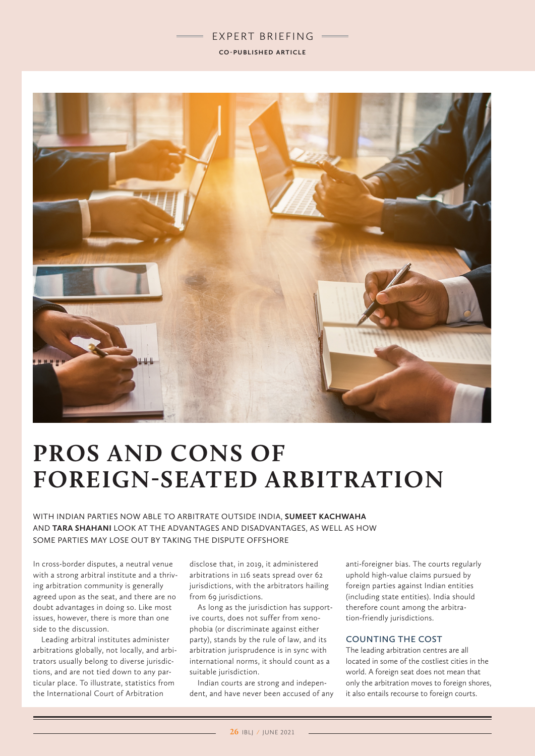## EXPERT BRIEFING **CO-PUBLISHED ARTICLE**



# **PROS AND CONS OF FOREIGN-SEATED ARBITRATION**

WITH INDIAN PARTIES NOW ABLE TO ARBITRATE OUTSIDE INDIA, **SUMEET KACHWAHA** AND **TARA SHAHANI** LOOK AT THE ADVANTAGES AND DISADVANTAGES, AS WELL AS HOW SOME PARTIES MAY LOSE OUT BY TAKING THE DISPUTE OFFSHORE

In cross-border disputes, a neutral venue with a strong arbitral institute and a thriving arbitration community is generally agreed upon as the seat, and there are no doubt advantages in doing so. Like most issues, however, there is more than one side to the discussion.

Leading arbitral institutes administer arbitrations globally, not locally, and arbitrators usually belong to diverse jurisdictions, and are not tied down to any particular place. To illustrate, statistics from the International Court of Arbitration

disclose that, in 2019, it administered arbitrations in 116 seats spread over 62 jurisdictions, with the arbitrators hailing from 69 jurisdictions.

As long as the jurisdiction has supportive courts, does not suffer from xenophobia (or discriminate against either party), stands by the rule of law, and its arbitration jurisprudence is in sync with international norms, it should count as a suitable jurisdiction.

Indian courts are strong and independent, and have never been accused of any anti-foreigner bias. The courts regularly uphold high-value claims pursued by foreign parties against Indian entities (including state entities). India should therefore count among the arbitration-friendly jurisdictions.

#### **COUNTING THE COST**

The leading arbitration centres are all located in some of the costliest cities in the world. A foreign seat does not mean that only the arbitration moves to foreign shores, it also entails recourse to foreign courts.